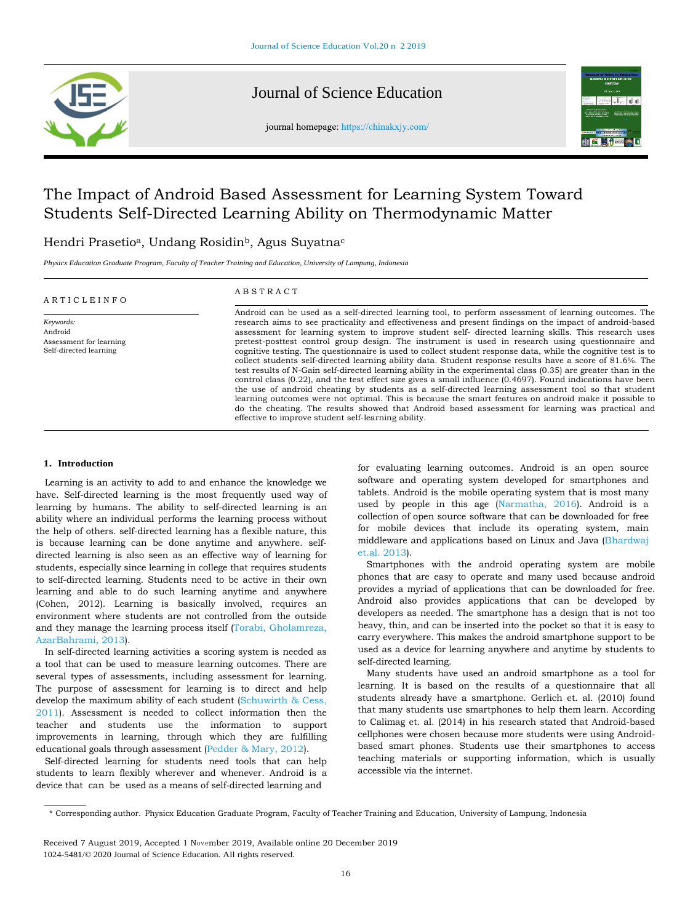

# Journal of Sc[ience Educatio](http://www.elsevier.com/locate/comphumbeh)n

journal homepage: https://chinakxjy.com/



# The Impact of Android Based Assessment for Learning System Toward Students Self-Directed Learning Ability on Thermodynamic Matter

# Hendri Prasetio<sup>a</sup>, Undang Rosidin<sup>b</sup>, Agus Suyatna<sup>c</sup>

*Physicx Education Graduate Program, Faculty of Teacher Training and Education, University of Lampung, Indonesia*

#### A R T I C L E I N F O

Assessment for learning Self-directed learning

*Keywords:* Android

## A B S T R A C T

Android can be used as a self-directed learning tool, to perform assessment of learning outcomes. The research aims to see practicality and effectiveness and present findings on the impact of android-based assessment for learning system to improve student self- directed learning skills. This research uses pretest-posttest control group design. The instrument is used in research using questionnaire and cognitive testing. The questionnaire is used to collect student response data, while the cognitive test is to collect students self-directed learning ability data. Student response results have a score of 81.6%. The test results of N-Gain self-directed learning ability in the experimental class (0.35) are greater than in the control class (0.22), and the test effect size gives a small influence (0.4697). Found indications have been the use of android cheating by students as a self-directed learning assessment tool so that student learning outcomes were not optimal. This is because the smart features on android make it possible to do the cheating. The results showed that Android based assessment for learning was practical and effective to improve student self-learning ability.

#### **1. Introduction**

Learning is an activity to add to and enhance the knowledge we have. Self-directed learning is the most frequently used way of learning by humans. The ability to self-directed learning is an ability where an individual performs the learning process without the help of others. self-directed learning has a flexible nature, this is because learning can be done anytime and anywhere. selfdirected learning is also seen as an effective way of learning for students, especially since learning in college that requires students to self-directed learning. Students need to be active in their own learning and able to do such learning anytime and anywhere (Cohen, 2012). Learning is basically involved, requires an environment where students are not controlled from the outside and they manage the learning process itself (Torabi, Gholamreza, AzarBahrami, 2013).

In self-directed learning activities a scoring system is needed as a tool that can be used to measure learning outcomes. There are several types of assessments, including assessment for learning. The purpose of assessment for learning is to direct and help develop the maximum ability of each student (Schuwirth & Cess, 2011). Assessment is needed to collect information then the teacher and students use the information to support improvements in learning, through which they are fulfilling educational goals through assessment (Pedder & Mary, 2012).

Self-directed learning for students need tools that can help students to learn flexibly wherever and whenever. Android is a device that can be used as a means of self-directed learning and

for evaluating learning outcomes. Android is an open source software and operating system developed for smartphones and tablets. Android is the mobile operating system that is most many used by people in this age (Narmatha, 2016). Android is a collection of open source software that can be downloaded for free for mobile devices that include its operating system, main middleware and applications based on Linux and Java (Bhardwaj et.al. 2013).

Smartphones with the android operating system are mobile phones that are easy to operate and many used because android provides a myriad of applications that can be downloaded for free. Android also provides applications that can be developed by developers as needed. The smartphone has a design that is not too heavy, thin, and can be inserted into the pocket so that it is easy to carry everywhere. This makes the android smartphone support to be used as a device for learning anywhere and anytime by students to self-directed learning.

Many students have used an android smartphone as a tool for learning. It is based on the results of a questionnaire that all students already have a smartphone. Gerlich et. al. (2010) found that many students use smartphones to help them learn. According to Calimag et. al. (2014) in his research stated that Android-based cellphones were chosen because more students were using Androidbased smart phones. Students use their smartphones to access teaching materials or supporting information, which is usually accessible via the internet.

<sup>\*</sup> Corresponding author. Physicx Education Graduate Program, Faculty of Teacher Training and Education, University of Lampung, Indonesia

Received 7 August 2019, Accepted 1 November 2019, Available online 20 December 2019 1024-5481/© 2020 Journal of Science Education. All rights reserved.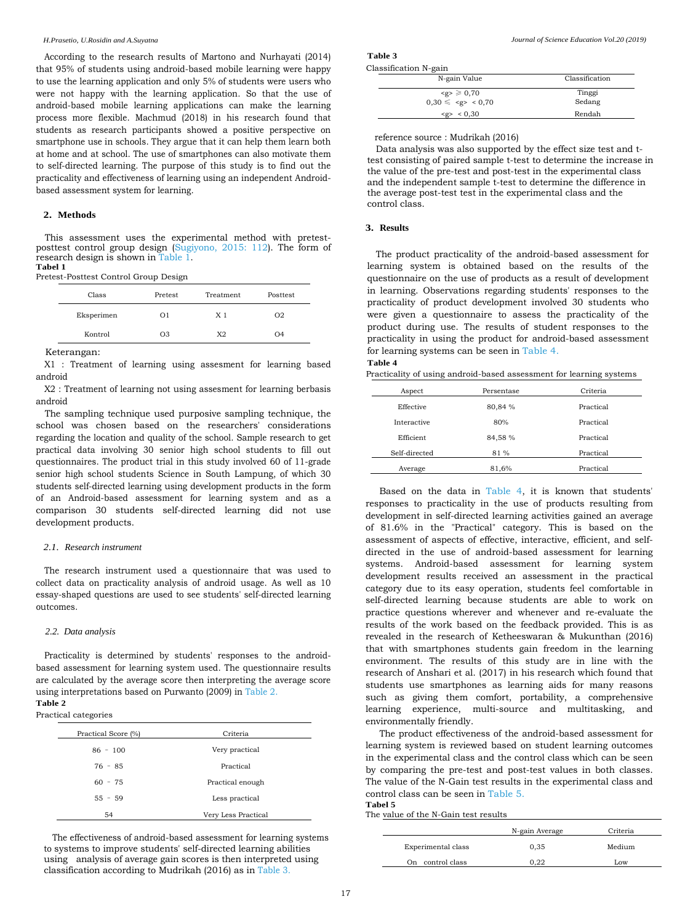According to the research results of Martono and Nurhayati (2014) that 95% of students using android-based mobile learning were happy to use the learning application and only 5% of students were users who were not happy with the learning application. So that the use of android-based mobile learning applications can make the learning process more flexible. Machmud (2018) in his research found that students as research participants showed a positive perspective on smartphone use in schools. They argue that it can help them learn both at home and at school. The use of smartphones can also motivate them to self-directed learning. The purpose of this study is to find out the practicality and effectiveness of learning using an independent Androidbased assessment system for learning.

### **2. Methods**

This assessment uses the experimental method with pretestposttest control group design (Sugiyono, 2015: 112). The form of research design is shown in Table 1. **Tabel 1**

#### Pretest-Posttest Control Group Design

| Class      | Pretest        | Treatment      | Posttest       |
|------------|----------------|----------------|----------------|
| Eksperimen | O <sub>1</sub> | X <sub>1</sub> | O <sub>2</sub> |
| Kontrol    | O <sub>3</sub> | X <sub>2</sub> | O <sub>4</sub> |

Keterangan:

X1 : Treatment of learning using assesment for learning based android

X2 : Treatment of learning not using assesment for learning berbasis android

The sampling technique used purposive sampling technique, the school was chosen based on the researchers' considerations regarding the location and quality of the school. Sample research to get practical data involving 30 senior high school students to fill out questionnaires. The product trial in this study involved 60 of 11-grade senior high school students Science in South Lampung, of which 30 students self-directed learning using development products in the form of an Android-based assessment for learning system and as a comparison 30 students self-directed learning did not use development products.

#### *2.1. Research instrument*

The research instrument used a questionnaire that was used to collect data on practicality analysis of android usage. As well as 10 essay-shaped questions are used to see students' self-directed learning outcomes.

#### *2.2. Data analysis*

Practicality is determined by students' responses to the androidbased assessment for learning system used. The questionnaire results are calculated by the average score then interpreting the average score using interpretations based on Purwanto (2009) in Table 2. **Table 2**

#### Practical categories

| Practical Score (%) | Criteria            |
|---------------------|---------------------|
| $86 - 100$          | Very practical      |
| $76 - 85$           | Practical           |
| $60 - 75$           | Practical enough    |
| $55 - 59$           | Less practical      |
| 54                  | Very Less Practical |

The effectiveness of android-based assessment for learning systems to systems to improve students' self-directed learning abilities using analysis of average gain scores is then interpreted using classification according to Mudrikah (2016) as in Table 3.

**Table 3** Classification N-gain

| Classification   |
|------------------|
| Tinggi<br>Sedang |
| Rendah           |
|                  |

reference source : Mudrikah (2016)

Data analysis was also supported by the effect size test and ttest consisting of paired sample t-test to determine the increase in the value of the pre-test and post-test in the experimental class and the independent sample t-test to determine the difference in the average post-test test in the experimental class and the control class.

# **3. Results**

The product practicality of the android-based assessment for learning system is obtained based on the results of the questionnaire on the use of products as a result of development in learning. Observations regarding students' responses to the practicality of product development involved 30 students who were given a questionnaire to assess the practicality of the product during use. The results of student responses to the practicality in using the product for android-based assessment for learning systems can be seen in Table 4.

### **Table 4**

Practicality of using android-based assessment for learning systems

| Aspect        | Persentase | Criteria  |
|---------------|------------|-----------|
| Effective     | 80,84 %    | Practical |
| Interactive   | 80%        | Practical |
| Efficient     | 84,58 %    | Practical |
| Self-directed | 81 %       | Practical |
| Average       | 81,6%      | Practical |

Based on the data in Table 4, it is known that students' responses to practicality in the use of products resulting from development in self-directed learning activities gained an average of 81.6% in the "Practical" category. This is based on the assessment of aspects of effective, interactive, efficient, and selfdirected in the use of android-based assessment for learning systems. Android-based assessment for learning system development results received an assessment in the practical category due to its easy operation, students feel comfortable in self-directed learning because students are able to work on practice questions wherever and whenever and re-evaluate the results of the work based on the feedback provided. This is as revealed in the research of Ketheeswaran & Mukunthan (2016) that with smartphones students gain freedom in the learning environment. The results of this study are in line with the research of Anshari et al. (2017) in his research which found that students use smartphones as learning aids for many reasons such as giving them comfort, portability, a comprehensive learning experience, multi-source and multitasking, and environmentally friendly.

The product effectiveness of the android-based assessment for learning system is reviewed based on student learning outcomes in the experimental class and the control class which can be seen by comparing the pre-test and post-test values in both classes. The value of the N-Gain test results in the experimental class and control class can be seen in Table 5. **Tabel 5**

The value of the N-Gain test results

|                     | N-gain Average | Criteria |
|---------------------|----------------|----------|
| Experimental class  | 0,35           | Medium   |
| control class<br>On | 0.22           | Low      |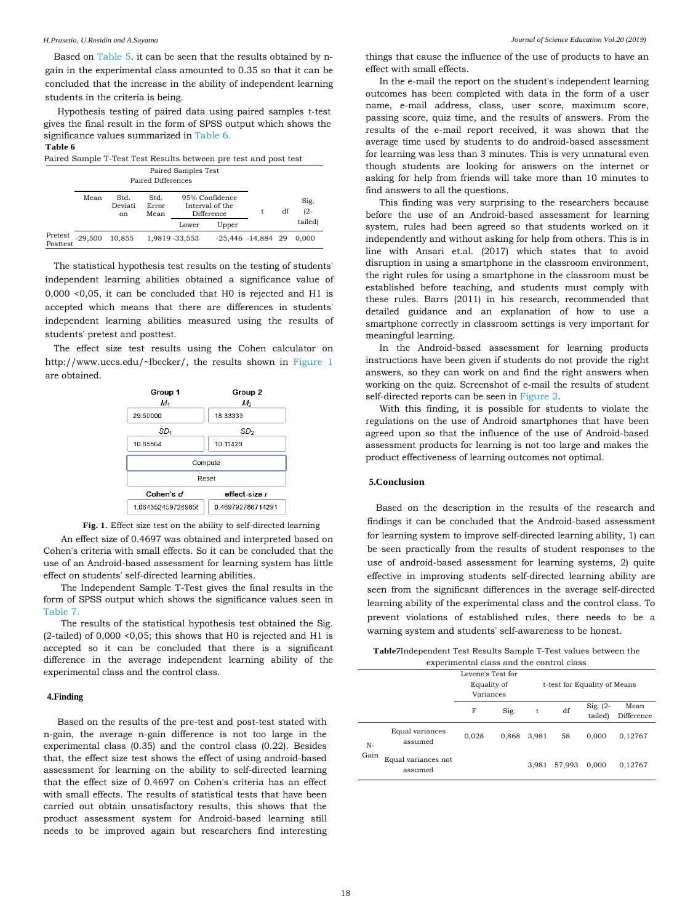Based on Table 5. it can be seen that the results obtained by ngain in the experimental class amounted to 0.35 so that it can be concluded that the increase in the ability of independent learning students in the criteria is being.

Hypothesis testing of paired data using paired samples t-test gives the final result in the form of SPSS output which shows the significance values summarized in Table 6.

# **Table 6**

| Paired Sample T-Test Test Results between pre test and post test |                                           |                                  |                       |                                                 |                        |  |    |                |
|------------------------------------------------------------------|-------------------------------------------|----------------------------------|-----------------------|-------------------------------------------------|------------------------|--|----|----------------|
|                                                                  | Paired Samples Test<br>Paired Differences |                                  |                       |                                                 |                        |  |    |                |
|                                                                  | Mean                                      | Std.<br>Deviati<br><sub>on</sub> | Std.<br>Error<br>Mean | 95% Confidence<br>Interval of the<br>Difference |                        |  | df | Sig.<br>$(2 -$ |
|                                                                  |                                           |                                  |                       | Lower                                           | Upper                  |  |    | tailed)        |
| Pretest<br>Posttest                                              | $-29.500$                                 | 10,855                           |                       | 1,9819 - 33,553                                 | $-25,446$ $-14,884$ 29 |  |    | 0.000          |

The statistical hypothesis test results on the testing of students' independent learning abilities obtained a significance value of 0,000 <0,05, it can be concluded that H0 is rejected and H1 is accepted which means that there are differences in students' independent learning abilities measured using the results of students' pretest and posttest.

The effect size test results using the Cohen calculator on http://www.uccs.edu/~lbecker/, the results shown in Figure 1 are obtained.





An effect size of 0.4697 was obtained and interpreted based on Cohen's criteria with small effects. So it can be concluded that the use of an Android-based assessment for learning system has little effect on students' self-directed learning abilities.

The Independent Sample T-Test gives the final results in the form of SPSS output which shows the significance values seen in Table 7.

The results of the statistical hypothesis test obtained the Sig. (2-tailed) of 0,000 <0,05; this shows that H0 is rejected and H1 is accepted so it can be concluded that there is a significant difference in the average independent learning ability of the experimental class and the control class.

# **4.Finding**

Based on the results of the pre-test and post-test stated with n-gain, the average n-gain difference is not too large in the experimental class (0.35) and the control class (0.22). Besides that, the effect size test shows the effect of using android-based assessment for learning on the ability to self-directed learning that the effect size of 0.4697 on Cohen's criteria has an effect with small effects. The results of statistical tests that have been carried out obtain unsatisfactory results, this shows that the product assessment system for Android-based learning still needs to be improved again but researchers find interesting

things that cause the influence of the use of products to have an effect with small effects.

In the e-mail the report on the student's independent learning outcomes has been completed with data in the form of a user name, e-mail address, class, user score, maximum score, passing score, quiz time, and the results of answers. From the results of the e-mail report received, it was shown that the average time used by students to do android-based assessment for learning was less than 3 minutes. This is very unnatural even though students are looking for answers on the internet or asking for help from friends will take more than 10 minutes to find answers to all the questions.

This finding was very surprising to the researchers because before the use of an Android-based assessment for learning system, rules had been agreed so that students worked on it independently and without asking for help from others. This is in line with Ansari et.al. (2017) which states that to avoid disruption in using a smartphone in the classroom environment, the right rules for using a smartphone in the classroom must be established before teaching, and students must comply with these rules. Barrs (2011) in his research, recommended that detailed guidance and an explanation of how to use a smartphone correctly in classroom settings is very important for meaningful learning.

In the Android-based assessment for learning products instructions have been given if students do not provide the right answers, so they can work on and find the right answers when working on the quiz. Screenshot of e-mail the results of student self-directed reports can be seen in Figure 2.

With this finding, it is possible for students to violate the regulations on the use of Android smartphones that have been agreed upon so that the influence of the use of Android-based assessment products for learning is not too large and makes the product effectiveness of learning outcomes not optimal.

## **5.Conclusion**

Based on the description in the results of the research and findings it can be concluded that the Android-based assessment for learning system to improve self-directed learning ability, 1) can be seen practically from the results of student responses to the use of android-based assessment for learning systems, 2) quite effective in improving students self-directed learning ability are seen from the significant differences in the average self-directed learning ability of the experimental class and the control class. To prevent violations of established rules, there needs to be a warning system and students' self-awareness to be honest.

**Table7**Independent Test Results Sample T-Test values between the experimental class and the control class

|      |                                | Levene's Test for<br>Equality of<br>Variances |       | t-test for Equality of Means |        |                        |                    |
|------|--------------------------------|-----------------------------------------------|-------|------------------------------|--------|------------------------|--------------------|
|      |                                | F                                             | Sig.  | t                            | df     | Sig. $(2 -$<br>tailed) | Mean<br>Difference |
| N-   | Equal variances<br>assumed     | 0.028                                         | 0.868 | 3,981                        | 58     | 0.000                  | 0,12767            |
| Gain | Equal variances not<br>assumed |                                               |       | 3,981                        | 57,993 | 0.000                  | 0,12767            |